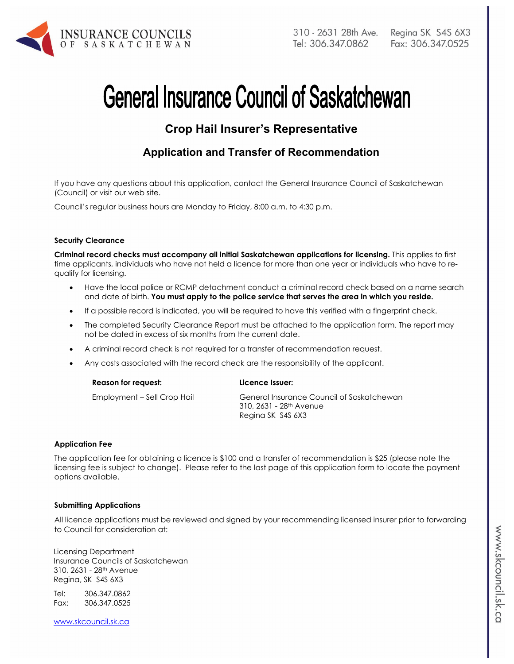

# **General Insurance Council of Saskatchewan**

# **Crop Hail Insurer's Representative**

# **Application and Transfer of Recommendation**

If you have any questions about this application, contact the General Insurance Council of Saskatchewan (Council) or visit our web site.

Council's regular business hours are Monday to Friday, 8:00 a.m. to 4:30 p.m.

#### **Security Clearance**

**Criminal record checks must accompany all initial Saskatchewan applications for licensing.** This applies to first time applicants, individuals who have not held a licence for more than one year or individuals who have to requalify for licensing.

- Have the local police or RCMP detachment conduct a criminal record check based on a name search and date of birth. **You must apply to the police service that serves the area in which you reside.**
- If a possible record is indicated, you will be required to have this verified with a fingerprint check.
- The completed Security Clearance Report must be attached to the application form. The report may not be dated in excess of six months from the current date.

**Ricence Issuer:** 

- A criminal record check is not required for a transfer of recommendation request.
- Any costs associated with the record check are the responsibility of the applicant.

Employment – Sell Crop Hail General Insurance Council of Saskatchewan 310, 2631 - 28th Avenue Regina SK S4S 6X3

#### **Application Fee**

The application fee for obtaining a licence is \$100 and a transfer of recommendation is \$25 (please note the licensing fee is subject to change). Please refer to the last page of this application form to locate the payment options available.

#### **Submitting Applications**

All licence applications must be reviewed and signed by your recommending licensed insurer prior to forwarding to Council for consideration at:

Licensing Department Insurance Councils of Saskatchewan 310, 2631 - 28th Avenue Regina, SK S4S 6X3

Tel: 306.347.0862 Fax: 306.347.0525

www.skcouncil.sk.ca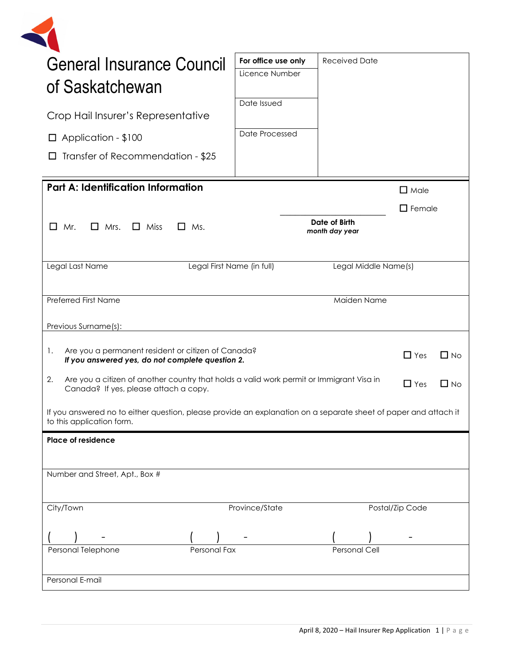

| <b>General Insurance Council</b>                                                                                                                      | For office use only | <b>Received Date</b> |                 |           |
|-------------------------------------------------------------------------------------------------------------------------------------------------------|---------------------|----------------------|-----------------|-----------|
| of Saskatchewan                                                                                                                                       | Licence Number      |                      |                 |           |
|                                                                                                                                                       | Date Issued         |                      |                 |           |
| Crop Hail Insurer's Representative                                                                                                                    |                     |                      |                 |           |
| $\Box$ Application - \$100                                                                                                                            | Date Processed      |                      |                 |           |
| Transfer of Recommendation - \$25<br>$\Box$                                                                                                           |                     |                      |                 |           |
| <b>Part A: Identification Information</b>                                                                                                             |                     |                      | $\Box$ Male     |           |
|                                                                                                                                                       |                     |                      | $\Box$ Female   |           |
| Date of Birth<br>Mr.<br>$\Box$ Mrs.<br>$\Box$ Miss<br>$\Box$ Ms.<br>$\Box$<br>month day year                                                          |                     |                      |                 |           |
|                                                                                                                                                       |                     |                      |                 |           |
| Legal Last Name<br>Legal First Name (in full)<br>Legal Middle Name(s)                                                                                 |                     |                      |                 |           |
| <b>Preferred First Name</b><br>Maiden Name                                                                                                            |                     |                      |                 |           |
| Previous Surname(s):                                                                                                                                  |                     |                      |                 |           |
|                                                                                                                                                       |                     |                      |                 |           |
| Are you a permanent resident or citizen of Canada?<br>1.<br>$\Box$ Yes<br>$\Box$ No<br>If you answered yes, do not complete question 2.               |                     |                      |                 |           |
| 2.<br>Are you a citizen of another country that holds a valid work permit or Immigrant Visa in<br>$\Box$ Yes<br>Canada? If yes, please attach a copy. |                     |                      |                 | $\Box$ No |
| If you answered no to either question, please provide an explanation on a separate sheet of paper and attach it<br>to this application form.          |                     |                      |                 |           |
| Place of residence                                                                                                                                    |                     |                      |                 |           |
|                                                                                                                                                       |                     |                      |                 |           |
| Number and Street, Apt., Box #                                                                                                                        |                     |                      |                 |           |
| City/Town                                                                                                                                             | Province/State      |                      | Postal/Zip Code |           |
|                                                                                                                                                       |                     |                      |                 |           |
| Personal Telephone<br>Personal Fax                                                                                                                    |                     | <b>Personal Cell</b> |                 |           |
| Personal E-mail                                                                                                                                       |                     |                      |                 |           |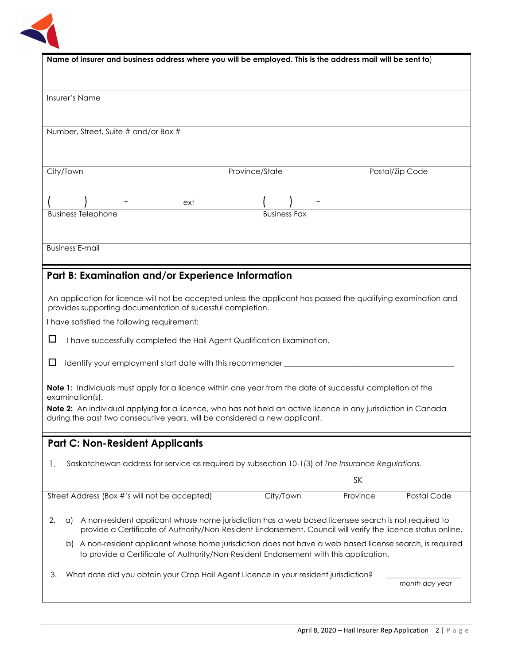

| Name of insurer and business address where you will be employed. This is the address mail will be sent to)                                                                                                                     |                     |           |                 |  |
|--------------------------------------------------------------------------------------------------------------------------------------------------------------------------------------------------------------------------------|---------------------|-----------|-----------------|--|
|                                                                                                                                                                                                                                |                     |           |                 |  |
|                                                                                                                                                                                                                                |                     |           |                 |  |
|                                                                                                                                                                                                                                |                     |           |                 |  |
| Insurer's Name                                                                                                                                                                                                                 |                     |           |                 |  |
|                                                                                                                                                                                                                                |                     |           |                 |  |
|                                                                                                                                                                                                                                |                     |           |                 |  |
| Number, Street, Suite # and/or Box #                                                                                                                                                                                           |                     |           |                 |  |
|                                                                                                                                                                                                                                |                     |           |                 |  |
|                                                                                                                                                                                                                                |                     |           |                 |  |
|                                                                                                                                                                                                                                |                     |           |                 |  |
| City/Town                                                                                                                                                                                                                      | Province/State      |           | Postal/Zip Code |  |
|                                                                                                                                                                                                                                |                     |           |                 |  |
|                                                                                                                                                                                                                                |                     |           |                 |  |
| ext                                                                                                                                                                                                                            |                     |           |                 |  |
| <b>Business Telephone</b>                                                                                                                                                                                                      | <b>Business Fax</b> |           |                 |  |
|                                                                                                                                                                                                                                |                     |           |                 |  |
|                                                                                                                                                                                                                                |                     |           |                 |  |
| <b>Business E-mail</b>                                                                                                                                                                                                         |                     |           |                 |  |
|                                                                                                                                                                                                                                |                     |           |                 |  |
|                                                                                                                                                                                                                                |                     |           |                 |  |
| Part B: Examination and/or Experience Information                                                                                                                                                                              |                     |           |                 |  |
|                                                                                                                                                                                                                                |                     |           |                 |  |
| An application for licence will not be accepted unless the applicant has passed the qualifying examination and                                                                                                                 |                     |           |                 |  |
| provides supporting documentation of sucessful completion.                                                                                                                                                                     |                     |           |                 |  |
| I have satisfied the following requirement:                                                                                                                                                                                    |                     |           |                 |  |
|                                                                                                                                                                                                                                |                     |           |                 |  |
| □<br>I have successfully completed the Hail Agent Qualification Examination.                                                                                                                                                   |                     |           |                 |  |
|                                                                                                                                                                                                                                |                     |           |                 |  |
| ப<br>Identify your employment start date with this recommender __________                                                                                                                                                      |                     |           |                 |  |
|                                                                                                                                                                                                                                |                     |           |                 |  |
|                                                                                                                                                                                                                                |                     |           |                 |  |
| Note 1: Individuals must apply for a licence within one year from the date of successful completion of the<br>examination(s).                                                                                                  |                     |           |                 |  |
| Note 2: An individual applying for a licence, who has not held an active licence in any jurisdiction in Canada                                                                                                                 |                     |           |                 |  |
| during the past two consecutive years, will be considered a new applicant.                                                                                                                                                     |                     |           |                 |  |
|                                                                                                                                                                                                                                |                     |           |                 |  |
|                                                                                                                                                                                                                                |                     |           |                 |  |
| <b>Part C: Non-Resident Applicants</b>                                                                                                                                                                                         |                     |           |                 |  |
|                                                                                                                                                                                                                                |                     |           |                 |  |
| Saskatchewan address for service as required by subsection 10-1(3) of The Insurance Regulations.<br>Ι.                                                                                                                         |                     |           |                 |  |
|                                                                                                                                                                                                                                |                     | <b>SK</b> |                 |  |
|                                                                                                                                                                                                                                |                     |           |                 |  |
| Street Address (Box #'s will not be accepted)                                                                                                                                                                                  | City/Town           | Province  | Postal Code     |  |
|                                                                                                                                                                                                                                |                     |           |                 |  |
| 2.<br>A non-resident applicant whose home jurisdiction has a web based licensee search is not required to<br>a)<br>provide a Certificate of Authority/Non-Resident Endorsement. Council will verify the licence status online. |                     |           |                 |  |
|                                                                                                                                                                                                                                |                     |           |                 |  |
| b) A non-resident applicant whose home jurisdiction does not have a web based license search, is required<br>to provide a Certificate of Authority/Non-Resident Endorsement with this application.                             |                     |           |                 |  |
|                                                                                                                                                                                                                                |                     |           |                 |  |
| What date did you obtain your Crop Hail Agent Licence in your resident jurisdiction?<br>З.                                                                                                                                     |                     |           | month day year  |  |
|                                                                                                                                                                                                                                |                     |           |                 |  |
|                                                                                                                                                                                                                                |                     |           |                 |  |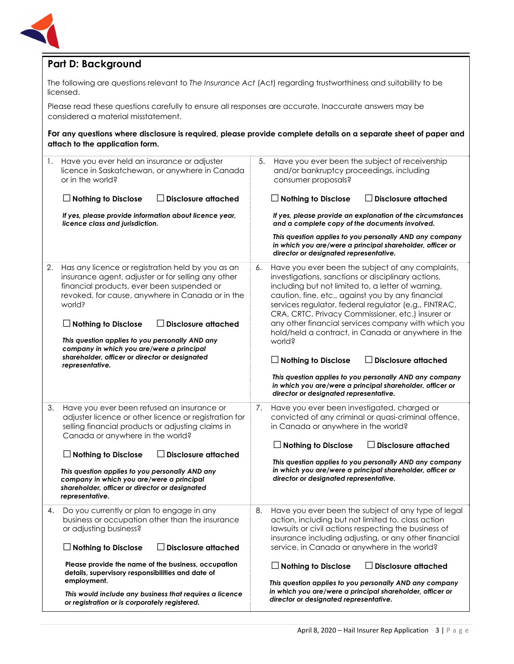

# **Part D: Background**

The following are questions relevant to *The Insurance Act* (Act) regarding trustworthiness and suitability to be licensed.

Please read these questions carefully to ensure all responses are accurate. Inaccurate answers may be considered a material misstatement.

**For any questions where disclosure is required, please provide complete details on a separate sheet of paper and attach to the application form.** 

| 1. | Have you ever held an insurance or adjuster<br>licence in Saskatchewan, or anywhere in Canada<br>or in the world?<br><b>Disclosure attached</b><br>$\Box$ Nothing to Disclose<br>$\mathsf{L}$<br>If yes, please provide information about licence year,<br>licence class and jurisdiction.                                                                                                                                                           | 5. | Have you ever been the subject of receivership<br>and/or bankruptcy proceedings, including<br>consumer proposals?<br>$\Box$ Disclosure attached<br>$\Box$ Nothing to Disclose<br>If yes, please provide an explanation of the circumstances<br>and a complete copy of the documents involved.<br>This question applies to you personally AND any company<br>in which you are/were a principal shareholder, officer or<br>director or designated representative.                                                                                                                                                                                                                       |
|----|------------------------------------------------------------------------------------------------------------------------------------------------------------------------------------------------------------------------------------------------------------------------------------------------------------------------------------------------------------------------------------------------------------------------------------------------------|----|---------------------------------------------------------------------------------------------------------------------------------------------------------------------------------------------------------------------------------------------------------------------------------------------------------------------------------------------------------------------------------------------------------------------------------------------------------------------------------------------------------------------------------------------------------------------------------------------------------------------------------------------------------------------------------------|
| 2. | Has any licence or registration held by you as an<br>insurance agent, adjuster or for selling any other<br>financial products, ever been suspended or<br>revoked, for cause, anywhere in Canada or in the<br>world?<br>$\Box$ Nothing to Disclose<br><b>Disclosure attached</b><br>This question applies to you personally AND any<br>company in which you are/were a principal<br>shareholder, officer or director or designated<br>representative. | 6. | Have you ever been the subject of any complaints,<br>investigations, sanctions or disciplinary actions,<br>including but not limited to, a letter of warning,<br>caution, fine, etc., against you by any financial<br>services regulator, federal regulator (e.g., FINTRAC,<br>CRA, CRTC, Privacy Commissioner, etc.) insurer or<br>any other financial services company with which you<br>hold/held a contract, in Canada or anywhere in the<br>world?<br>$\Box$ Disclosure attached<br>$\Box$ Nothing to Disclose<br>This question applies to you personally AND any company<br>in which you are/were a principal shareholder, officer or<br>director or designated representative. |
| 3. | Have you ever been refused an insurance or<br>adjuster licence or other licence or registration for<br>selling financial products or adjusting claims in<br>Canada or anywhere in the world?<br>$\Box$ Nothing to Disclose<br><b>Disclosure attached</b><br>This question applies to you personally AND any<br>company in which you are/were a principal<br>shareholder, officer or director or designated<br>representative.                        | 7. | Have you ever been investigated, charged or<br>convicted of any criminal or quasi-criminal offence,<br>in Canada or anywhere in the world?<br>$\Box$ Nothing to Disclose<br>$\Box$ Disclosure attached<br>This question applies to you personally AND any company<br>in which you are/were a principal shareholder, officer or<br>director or designated representative.                                                                                                                                                                                                                                                                                                              |
| 4. | Do you currently or plan to engage in any<br>business or occupation other than the insurance<br>or adjusting business?<br>$\Box$ Nothing to Disclose<br><b>Disclosure attached</b><br>Please provide the name of the business, occupation<br>details, supervisory responsibilities and date of<br>employment.<br>This would include any business that requires a licence<br>or registration or is corporately registered.                            | 8. | Have you ever been the subject of any type of legal<br>action, including but not limited to, class action<br>lawsuits or civil actions respecting the business of<br>insurance including adjusting, or any other financial<br>service, in Canada or anywhere in the world?<br>$\Box$ Nothing to Disclose<br>$\Box$ Disclosure attached<br>This question applies to you personally AND any company<br>in which you are/were a principal shareholder, officer or<br>director or designated representative.                                                                                                                                                                              |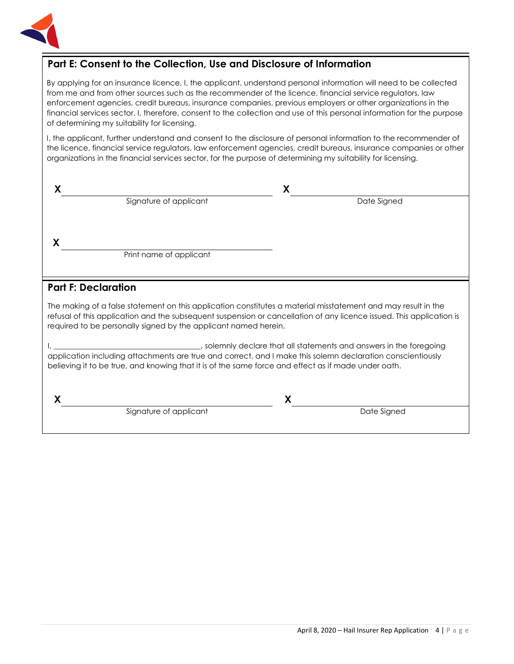

# **Part E: Consent to the Collection, Use and Disclosure of Information**

By applying for an insurance licence, I, the applicant, understand personal information will need to be collected from me and from other sources such as the recommender of the licence, financial service regulators, law enforcement agencies, credit bureaus, insurance companies, previous employers or other organizations in the financial services sector. I, therefore, consent to the collection and use of this personal information for the purpose of determining my suitability for licensing.

I, the applicant, further understand and consent to the disclosure of personal information to the recommender of the licence, financial service regulators, law enforcement agencies, credit bureaus, insurance companies or other organizations in the financial services sector, for the purpose of determining my suitability for licensing.

| Signature of applicant                                                                                                                                                                                                                                                                                   | Date Signed                                                                                                                             |
|----------------------------------------------------------------------------------------------------------------------------------------------------------------------------------------------------------------------------------------------------------------------------------------------------------|-----------------------------------------------------------------------------------------------------------------------------------------|
|                                                                                                                                                                                                                                                                                                          |                                                                                                                                         |
|                                                                                                                                                                                                                                                                                                          |                                                                                                                                         |
| Print name of applicant                                                                                                                                                                                                                                                                                  |                                                                                                                                         |
|                                                                                                                                                                                                                                                                                                          |                                                                                                                                         |
| <b>Part F: Declaration</b>                                                                                                                                                                                                                                                                               |                                                                                                                                         |
| The making of a false statement on this application constitutes a material misstatement and may result in the<br>refusal of this application and the subsequent suspension or cancellation of any licence issued. This application is<br>required to be personally signed by the applicant named herein. |                                                                                                                                         |
| application including attachments are true and correct, and I make this solemn declaration conscientiously<br>believing it to be true, and knowing that it is of the same force and effect as if made under oath.                                                                                        | solemnly declare that all statements and answers in the foregoing (3) solemnly declare that all statements and answers in the foregoing |
|                                                                                                                                                                                                                                                                                                          |                                                                                                                                         |

Signature of applicant and the Signature of applicant and the Date Signed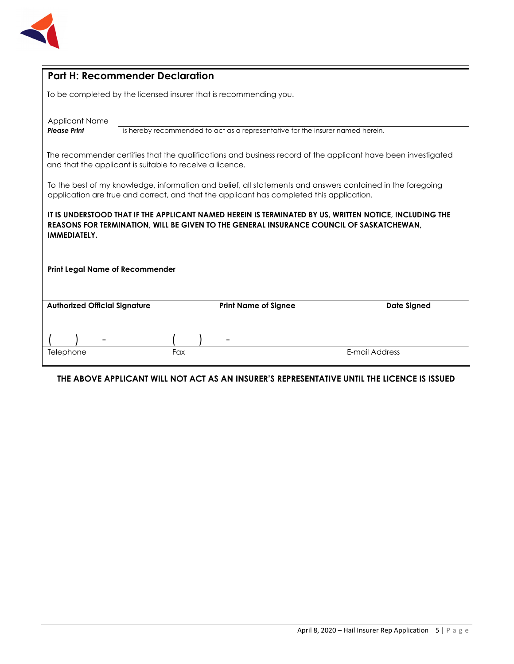

| <b>Part H: Recommender Declaration</b>                                                                                                                                                                                    |     |                             |                    |  |
|---------------------------------------------------------------------------------------------------------------------------------------------------------------------------------------------------------------------------|-----|-----------------------------|--------------------|--|
| To be completed by the licensed insurer that is recommending you.                                                                                                                                                         |     |                             |                    |  |
| <b>Applicant Name</b><br><b>Please Print</b><br>is hereby recommended to act as a representative for the insurer named herein.                                                                                            |     |                             |                    |  |
| The recommender certifies that the qualifications and business record of the applicant have been investigated<br>and that the applicant is suitable to receive a licence.                                                 |     |                             |                    |  |
| To the best of my knowledge, information and belief, all statements and answers contained in the foregoing<br>application are true and correct, and that the applicant has completed this application.                    |     |                             |                    |  |
| IT IS UNDERSTOOD THAT IF THE APPLICANT NAMED HEREIN IS TERMINATED BY US, WRITTEN NOTICE, INCLUDING THE<br>REASONS FOR TERMINATION, WILL BE GIVEN TO THE GENERAL INSURANCE COUNCIL OF SASKATCHEWAN,<br><b>IMMEDIATELY.</b> |     |                             |                    |  |
| <b>Print Legal Name of Recommender</b>                                                                                                                                                                                    |     |                             |                    |  |
| <b>Authorized Official Signature</b>                                                                                                                                                                                      |     | <b>Print Name of Signee</b> | <b>Date Signed</b> |  |
| Telephone                                                                                                                                                                                                                 | Fax |                             | E-mail Address     |  |
|                                                                                                                                                                                                                           |     |                             |                    |  |

## **THE ABOVE APPLICANT WILL NOT ACT AS AN INSURER'S REPRESENTATIVE UNTIL THE LICENCE IS ISSUED**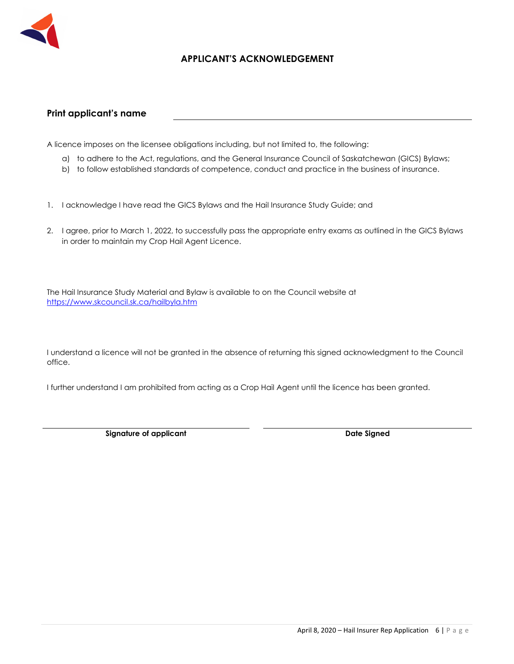

## **APPLICANT'S ACKNOWLEDGEMENT**

### **Print applicant's name**

A licence imposes on the licensee obligations including, but not limited to, the following:

- a) to adhere to the Act, regulations, and the General Insurance Council of Saskatchewan (GICS) Bylaws;
- b) to follow established standards of competence, conduct and practice in the business of insurance.
- 1. I acknowledge I have read the GICS Bylaws and the Hail Insurance Study Guide; and
- 2. I agree, prior to March 1, 2022, to successfully pass the appropriate entry exams as outlined in the GICS Bylaws in order to maintain my Crop Hail Agent Licence.

The Hail Insurance Study Material and Bylaw is available to on the Council website at https://www.skcouncil.sk.ca/hailbyla.htm

I understand a licence will not be granted in the absence of returning this signed acknowledgment to the Council office.

I further understand I am prohibited from acting as a Crop Hail Agent until the licence has been granted.

**Signature of applicant Case Controllering Case Controllering Case Controllering Date Signed Date Signed**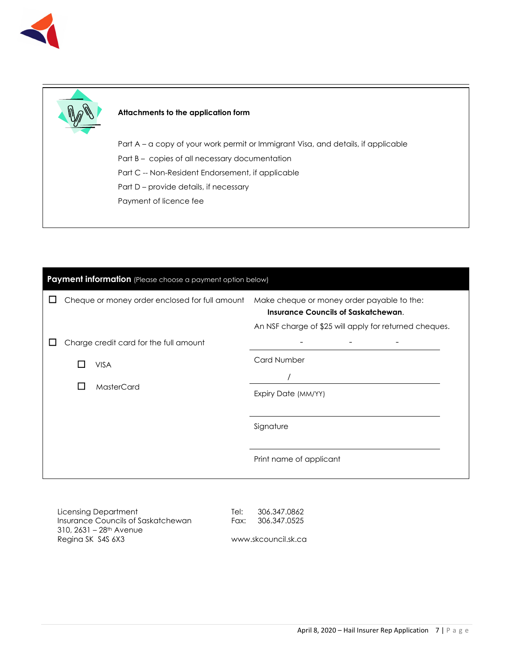



#### **Attachments to the application form**

Part A – a copy of your work permit or Immigrant Visa, and details, if applicable

- Part B copies of all necessary documentation
- Part C -- Non-Resident Endorsement, if applicable
- Part D provide details, if necessary
- Payment of licence fee

| Payment information (Please choose a payment option below) |  |                                                |                                                                                                                                                    |
|------------------------------------------------------------|--|------------------------------------------------|----------------------------------------------------------------------------------------------------------------------------------------------------|
|                                                            |  | Cheque or money order enclosed for full amount | Make cheque or money order payable to the:<br><b>Insurance Councils of Saskatchewan.</b><br>An NSF charge of \$25 will apply for returned cheques. |
|                                                            |  | Charge credit card for the full amount         |                                                                                                                                                    |
|                                                            |  | <b>VISA</b>                                    | <b>Card Number</b>                                                                                                                                 |
|                                                            |  |                                                |                                                                                                                                                    |
|                                                            |  | MasterCard<br>$\mathbf{I}$                     | Expiry Date (MM/YY)                                                                                                                                |
|                                                            |  |                                                |                                                                                                                                                    |
|                                                            |  |                                                | Signature                                                                                                                                          |
|                                                            |  |                                                | Print name of applicant                                                                                                                            |
|                                                            |  |                                                |                                                                                                                                                    |

Licensing Department Insurance Councils of Saskatchewan 310, 2631 – 28th Avenue Regina SK S4S 6X3

Tel: 306.347.0862 Fax: 306.347.0525

www.skcouncil.sk.ca